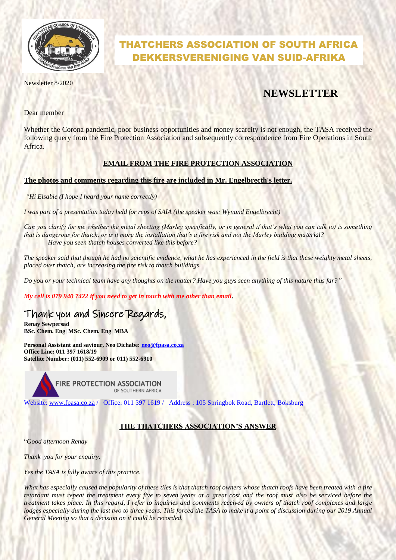

# THATCHERS ASSOCIATION OF SOUTH AFRICA DEKKERSVERENIGING VAN SUID-AFRIKA

Newsletter 8/2020

# **NEWSLETTER**

Dear member

Whether the Corona pandemic, poor business opportunities and money scarcity is not enough, the TASA received the following query from the Fire Protection Association and subsequently correspondence from Fire Operations in South Africa.

### **EMAIL FROM THE FIRE PROTECTION ASSOCIATION**

#### **The photos and comments regarding this fire are included in Mr. Engelbrecth's letter.**

*"Hi Elsabie (I hope I heard your name correctly)*

*I was part of a presentation today held for reps of SAIA (the speaker was: Wynand Engelbrecht)* 

*Can you clarify for me whether the metal sheeting (Marley specifically, or in general if that's what you can talk to) is something that is dangerous for thatch, or is it more the installation that's a fire risk and not the Marley building material?* - *Have you seen thatch houses converted like this before?*

*The speaker said that though he had no scientific evidence, what he has experienced in the field is that these weighty metal sheets, placed over thatch, are increasing the fire risk to thatch buildings.*

*Do you or your technical team have any thoughts on the matter? Have you guys seen anything of this nature thus far?"*

*My cell is 079 940 7422 if you need to get in touch with me other than email***.** 

## Thank you and Sincere Regards,

**Renay Sewpersad BSc. Chem. Eng| MSc. Chem. Eng| MBA** 

**Personal Assistant and saviour, Neo Dichabe: [neo@fpasa.co.za](mailto:neo@fpasa.co.za) Office Line: 011 397 1618/19 Satellite Number: (011) 552-6909 or 011) 552-6910**

> FIRE PROTECTION ASSOCIATION OF SOUTHERN AFRICA

Website: [www.fpasa.co.za](http://www.fpasa.co.za/) / Office: 011 397 1619 / Address : 105 Springbok Road, Bartlett, Boksburg

### **THE THATCHERS ASSOCIATION'S ANSWER**

"*Good afternoon Renay*

*Thank you for your enquiry.*

*Yes the TASA is fully aware of this practice.*

*What has especially caused the popularity of these tiles is that thatch roof owners whose thatch roofs have been treated with a fire retardant must repeat the treatment every five to seven years at a great cost and the roof must also be serviced before the treatment takes place. In this regard, I refer to inquiries and comments received by owners of thatch roof complexes and large lodges especially during the last two to three years. This forced the TASA to make it a point of discussion during our 2019 Annual General Meeting so that a decision on it could be recorded.*